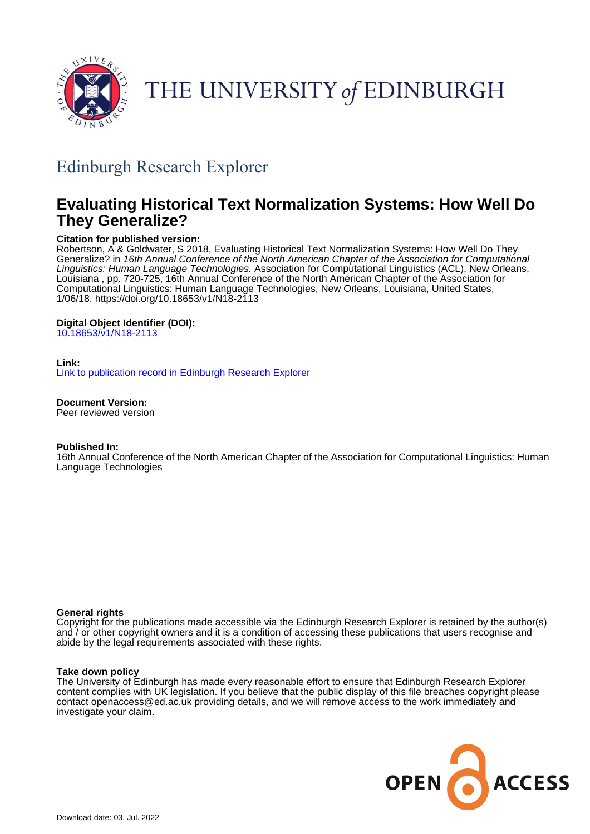

# THE UNIVERSITY of EDINBURGH

## Edinburgh Research Explorer

## **Evaluating Historical Text Normalization Systems: How Well Do They Generalize?**

## **Citation for published version:**

Robertson, A & Goldwater, S 2018, Evaluating Historical Text Normalization Systems: How Well Do They Generalize? in 16th Annual Conference of the North American Chapter of the Association for Computational Linguistics: Human Language Technologies. Association for Computational Linguistics (ACL), New Orleans, Louisiana , pp. 720-725, 16th Annual Conference of the North American Chapter of the Association for Computational Linguistics: Human Language Technologies, New Orleans, Louisiana, United States, 1/06/18. <https://doi.org/10.18653/v1/N18-2113>

## **Digital Object Identifier (DOI):**

[10.18653/v1/N18-2113](https://doi.org/10.18653/v1/N18-2113)

## **Link:**

[Link to publication record in Edinburgh Research Explorer](https://www.research.ed.ac.uk/en/publications/7684173e-f1e8-4567-8381-8d8488b0dd1c)

**Document Version:**

Peer reviewed version

## **Published In:**

16th Annual Conference of the North American Chapter of the Association for Computational Linguistics: Human Language Technologies

## **General rights**

Copyright for the publications made accessible via the Edinburgh Research Explorer is retained by the author(s) and / or other copyright owners and it is a condition of accessing these publications that users recognise and abide by the legal requirements associated with these rights.

## **Take down policy**

The University of Edinburgh has made every reasonable effort to ensure that Edinburgh Research Explorer content complies with UK legislation. If you believe that the public display of this file breaches copyright please contact openaccess@ed.ac.uk providing details, and we will remove access to the work immediately and investigate your claim.

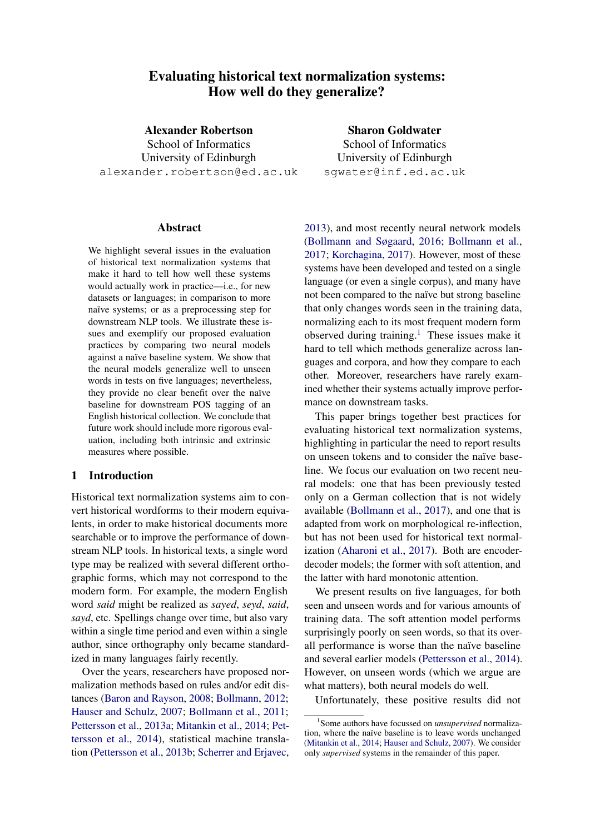## Evaluating historical text normalization systems: How well do they generalize?

Alexander Robertson School of Informatics University of Edinburgh alexander.robertson@ed.ac.uk

Sharon Goldwater School of Informatics University of Edinburgh sgwater@inf.ed.ac.uk

## Abstract

We highlight several issues in the evaluation of historical text normalization systems that make it hard to tell how well these systems would actually work in practice—i.e., for new datasets or languages; in comparison to more naïve systems; or as a preprocessing step for downstream NLP tools. We illustrate these issues and exemplify our proposed evaluation practices by comparing two neural models against a naïve baseline system. We show that the neural models generalize well to unseen words in tests on five languages; nevertheless, they provide no clear benefit over the naïve baseline for downstream POS tagging of an English historical collection. We conclude that future work should include more rigorous evaluation, including both intrinsic and extrinsic measures where possible.

## 1 Introduction

Historical text normalization systems aim to convert historical wordforms to their modern equivalents, in order to make historical documents more searchable or to improve the performance of downstream NLP tools. In historical texts, a single word type may be realized with several different orthographic forms, which may not correspond to the modern form. For example, the modern English word *said* might be realized as *sayed*, *seyd*, *said*, *sayd*, etc. Spellings change over time, but also vary within a single time period and even within a single author, since orthography only became standardized in many languages fairly recently.

Over the years, researchers have proposed normalization methods based on rules and/or edit distances [\(Baron and Rayson,](#page-5-0) [2008;](#page-5-0) [Bollmann,](#page-5-1) [2012;](#page-5-1) [Hauser and Schulz,](#page-5-2) [2007;](#page-5-2) [Bollmann et al.,](#page-5-3) [2011;](#page-5-3) [Pettersson et al.,](#page-5-4) [2013a;](#page-5-4) [Mitankin et al.,](#page-5-5) [2014;](#page-5-5) [Pet](#page-5-6)[tersson et al.,](#page-5-6) [2014\)](#page-5-6), statistical machine translation [\(Pettersson et al.,](#page-5-7) [2013b;](#page-5-7) [Scherrer and Erjavec,](#page-6-0)

[2013\)](#page-6-0), and most recently neural network models [\(Bollmann and Søgaard,](#page-5-8) [2016;](#page-5-8) [Bollmann et al.,](#page-5-9) [2017;](#page-5-9) [Korchagina,](#page-5-10) [2017\)](#page-5-10). However, most of these systems have been developed and tested on a single language (or even a single corpus), and many have not been compared to the naïve but strong baseline that only changes words seen in the training data, normalizing each to its most frequent modern form observed during training.<sup>[1](#page-1-0)</sup> These issues make it hard to tell which methods generalize across languages and corpora, and how they compare to each other. Moreover, researchers have rarely examined whether their systems actually improve performance on downstream tasks.

This paper brings together best practices for evaluating historical text normalization systems, highlighting in particular the need to report results on unseen tokens and to consider the naïve baseline. We focus our evaluation on two recent neural models: one that has been previously tested only on a German collection that is not widely available [\(Bollmann et al.,](#page-5-9) [2017\)](#page-5-9), and one that is adapted from work on morphological re-inflection, but has not been used for historical text normalization [\(Aharoni et al.,](#page-5-11) [2017\)](#page-5-11). Both are encoderdecoder models; the former with soft attention, and the latter with hard monotonic attention.

We present results on five languages, for both seen and unseen words and for various amounts of training data. The soft attention model performs surprisingly poorly on seen words, so that its overall performance is worse than the naïve baseline and several earlier models [\(Pettersson et al.,](#page-5-6) [2014\)](#page-5-6). However, on unseen words (which we argue are what matters), both neural models do well.

Unfortunately, these positive results did not

<span id="page-1-0"></span><sup>1</sup> Some authors have focussed on *unsupervised* normalization, where the naïve baseline is to leave words unchanged [\(Mitankin et al.,](#page-5-5) [2014;](#page-5-5) [Hauser and Schulz,](#page-5-2) [2007\)](#page-5-2). We consider only *supervised* systems in the remainder of this paper.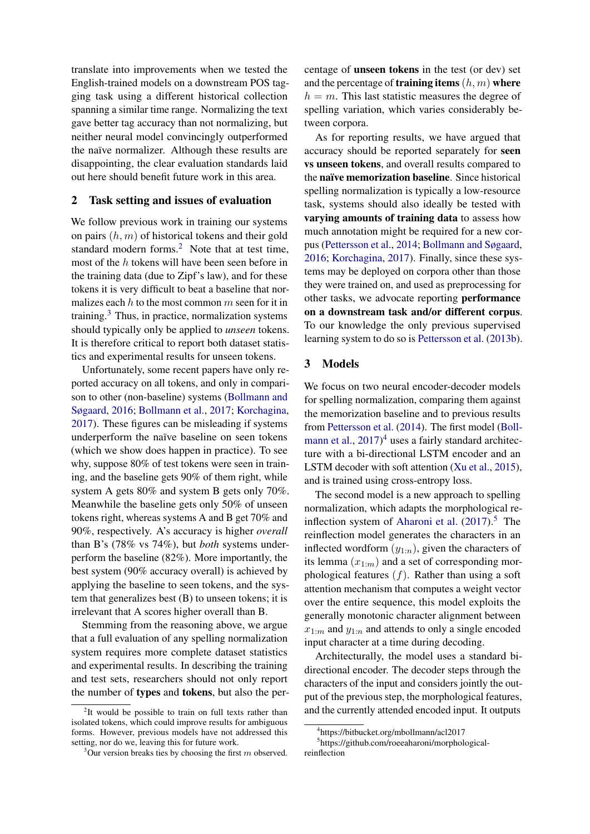translate into improvements when we tested the English-trained models on a downstream POS tagging task using a different historical collection spanning a similar time range. Normalizing the text gave better tag accuracy than not normalizing, but neither neural model convincingly outperformed the naïve normalizer. Although these results are disappointing, the clear evaluation standards laid out here should benefit future work in this area.

## 2 Task setting and issues of evaluation

We follow previous work in training our systems on pairs  $(h, m)$  of historical tokens and their gold standard modern forms.<sup>[2](#page-2-0)</sup> Note that at test time, most of the h tokens will have been seen before in the training data (due to Zipf's law), and for these tokens it is very difficult to beat a baseline that normalizes each  $h$  to the most common  $m$  seen for it in training. $3$  Thus, in practice, normalization systems should typically only be applied to *unseen* tokens. It is therefore critical to report both dataset statistics and experimental results for unseen tokens.

Unfortunately, some recent papers have only reported accuracy on all tokens, and only in comparison to other (non-baseline) systems [\(Bollmann and](#page-5-8) [Søgaard,](#page-5-8) [2016;](#page-5-8) [Bollmann et al.,](#page-5-9) [2017;](#page-5-9) [Korchagina,](#page-5-10) [2017\)](#page-5-10). These figures can be misleading if systems underperform the naïve baseline on seen tokens (which we show does happen in practice). To see why, suppose 80% of test tokens were seen in training, and the baseline gets 90% of them right, while system A gets 80% and system B gets only 70%. Meanwhile the baseline gets only 50% of unseen tokens right, whereas systems A and B get 70% and 90%, respectively. A's accuracy is higher *overall* than B's (78% vs 74%), but *both* systems underperform the baseline (82%). More importantly, the best system (90% accuracy overall) is achieved by applying the baseline to seen tokens, and the system that generalizes best (B) to unseen tokens; it is irrelevant that A scores higher overall than B.

Stemming from the reasoning above, we argue that a full evaluation of any spelling normalization system requires more complete dataset statistics and experimental results. In describing the training and test sets, researchers should not only report the number of types and tokens, but also the percentage of unseen tokens in the test (or dev) set and the percentage of **training items**  $(h, m)$  where  $h = m$ . This last statistic measures the degree of spelling variation, which varies considerably between corpora.

As for reporting results, we have argued that accuracy should be reported separately for seen vs unseen tokens, and overall results compared to the naïve memorization baseline. Since historical spelling normalization is typically a low-resource task, systems should also ideally be tested with varying amounts of training data to assess how much annotation might be required for a new corpus [\(Pettersson et al.,](#page-5-6) [2014;](#page-5-6) [Bollmann and Søgaard,](#page-5-8) [2016;](#page-5-8) [Korchagina,](#page-5-10) [2017\)](#page-5-10). Finally, since these systems may be deployed on corpora other than those they were trained on, and used as preprocessing for other tasks, we advocate reporting performance on a downstream task and/or different corpus. To our knowledge the only previous supervised learning system to do so is [Pettersson et al.](#page-5-7) [\(2013b\)](#page-5-7).

#### 3 Models

We focus on two neural encoder-decoder models for spelling normalization, comparing them against the memorization baseline and to previous results from [Pettersson et al.](#page-5-6) [\(2014\)](#page-5-6). The first model [\(Boll](#page-5-9)[mann et al.,](#page-5-9) [2017\)](#page-5-9)<sup>[4](#page-2-2)</sup> uses a fairly standard architecture with a bi-directional LSTM encoder and an LSTM decoder with soft attention [\(Xu et al.,](#page-6-1) [2015\)](#page-6-1), and is trained using cross-entropy loss.

The second model is a new approach to spelling normalization, which adapts the morphological re-inflection system of [Aharoni et al.](#page-5-11)  $(2017).$  $(2017).$ <sup>[5](#page-2-3)</sup> The reinflection model generates the characters in an inflected wordform  $(y_{1:n})$ , given the characters of its lemma  $(x_{1:m})$  and a set of corresponding morphological features  $(f)$ . Rather than using a soft attention mechanism that computes a weight vector over the entire sequence, this model exploits the generally monotonic character alignment between  $x_{1:m}$  and  $y_{1:n}$  and attends to only a single encoded input character at a time during decoding.

Architecturally, the model uses a standard bidirectional encoder. The decoder steps through the characters of the input and considers jointly the output of the previous step, the morphological features, and the currently attended encoded input. It outputs

<span id="page-2-0"></span><sup>&</sup>lt;sup>2</sup>It would be possible to train on full texts rather than isolated tokens, which could improve results for ambiguous forms. However, previous models have not addressed this setting, nor do we, leaving this for future work.

<span id="page-2-1"></span> $3$ Our version breaks ties by choosing the first m observed.

<span id="page-2-3"></span><span id="page-2-2"></span><sup>4</sup> https://bitbucket.org/mbollmann/acl2017

<sup>5</sup> https://github.com/roeeaharoni/morphologicalreinflection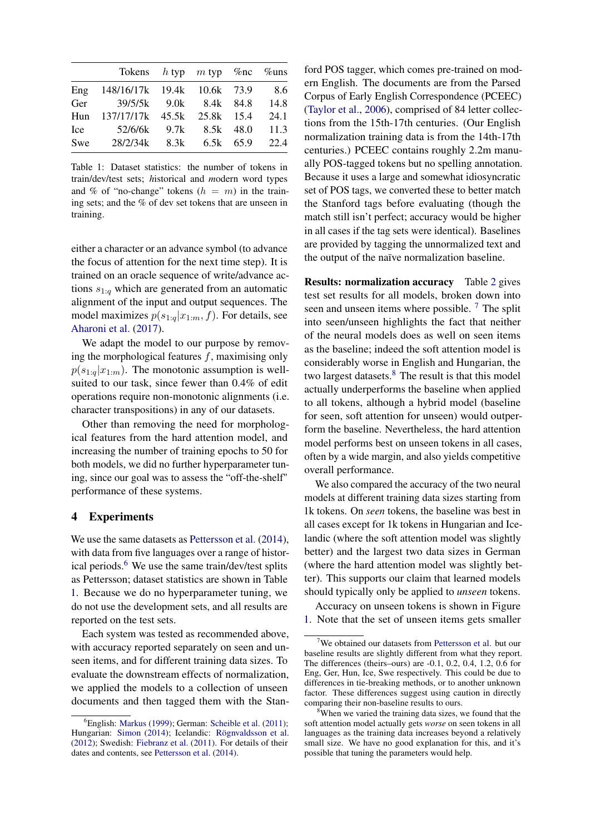|     | Tokens $h$ typ $m$ typ $\%$ nc $\%$ uns |  |      |
|-----|-----------------------------------------|--|------|
| Eng | 148/16/17k 19.4k 10.6k 73.9 8.6         |  |      |
|     | Ger 39/5/5k 9.0k 8.4k 84.8 14.8         |  |      |
|     | Hun 137/17/17k 45.5k 25.8k 15.4         |  | 24.1 |
| Ice | 52/6/6k 9.7k 8.5k 48.0 11.3             |  |      |
| Swe | 28/2/34k 8.3k 6.5k 65.9 22.4            |  |      |

<span id="page-3-1"></span>Table 1: Dataset statistics: the number of tokens in train/dev/test sets; *h*istorical and *m*odern word types and % of "no-change" tokens  $(h = m)$  in the training sets; and the % of dev set tokens that are unseen in training.

either a character or an advance symbol (to advance the focus of attention for the next time step). It is trained on an oracle sequence of write/advance actions  $s_{1:q}$  which are generated from an automatic alignment of the input and output sequences. The model maximizes  $p(s_{1:q}|x_{1:m}, f)$ . For details, see [Aharoni et al.](#page-5-11) [\(2017\)](#page-5-11).

We adapt the model to our purpose by removing the morphological features  $f$ , maximising only  $p(s_{1:q}|x_{1:m})$ . The monotonic assumption is wellsuited to our task, since fewer than 0.4% of edit operations require non-monotonic alignments (i.e. character transpositions) in any of our datasets.

Other than removing the need for morphological features from the hard attention model, and increasing the number of training epochs to 50 for both models, we did no further hyperparameter tuning, since our goal was to assess the "off-the-shelf" performance of these systems.

#### 4 Experiments

We use the same datasets as [Pettersson et al.](#page-5-6) [\(2014\)](#page-5-6), with data from five languages over a range of histor-ical periods.<sup>[6](#page-3-0)</sup> We use the same train/dev/test splits as Pettersson; dataset statistics are shown in Table [1.](#page-3-1) Because we do no hyperparameter tuning, we do not use the development sets, and all results are reported on the test sets.

Each system was tested as recommended above, with accuracy reported separately on seen and unseen items, and for different training data sizes. To evaluate the downstream effects of normalization, we applied the models to a collection of unseen documents and then tagged them with the Stan-

ford POS tagger, which comes pre-trained on modern English. The documents are from the Parsed Corpus of Early English Correspondence (PCEEC) [\(Taylor et al.,](#page-6-5) [2006\)](#page-6-5), comprised of 84 letter collections from the 15th-17th centuries. (Our English normalization training data is from the 14th-17th centuries.) PCEEC contains roughly 2.2m manually POS-tagged tokens but no spelling annotation. Because it uses a large and somewhat idiosyncratic set of POS tags, we converted these to better match the Stanford tags before evaluating (though the match still isn't perfect; accuracy would be higher in all cases if the tag sets were identical). Baselines are provided by tagging the unnormalized text and the output of the naïve normalization baseline.

Results: normalization accuracy Table [2](#page-4-0) gives test set results for all models, broken down into seen and unseen items where possible.  $<sup>7</sup>$  $<sup>7</sup>$  $<sup>7</sup>$  The split</sup> into seen/unseen highlights the fact that neither of the neural models does as well on seen items as the baseline; indeed the soft attention model is considerably worse in English and Hungarian, the two largest datasets.<sup>[8](#page-3-3)</sup> The result is that this model actually underperforms the baseline when applied to all tokens, although a hybrid model (baseline for seen, soft attention for unseen) would outperform the baseline. Nevertheless, the hard attention model performs best on unseen tokens in all cases, often by a wide margin, and also yields competitive overall performance.

We also compared the accuracy of the two neural models at different training data sizes starting from 1k tokens. On *seen* tokens, the baseline was best in all cases except for 1k tokens in Hungarian and Icelandic (where the soft attention model was slightly better) and the largest two data sizes in German (where the hard attention model was slightly better). This supports our claim that learned models should typically only be applied to *unseen* tokens.

Accuracy on unseen tokens is shown in Figure [1.](#page-4-1) Note that the set of unseen items gets smaller

<span id="page-3-0"></span> ${}^{6}$ English: [Markus](#page-5-12) [\(1999\)](#page-5-12); German: [Scheible et al.](#page-6-2) [\(2011\)](#page-6-2); Hungarian: [Simon](#page-6-3) [\(2014\)](#page-6-3); Icelandic: [Rögnvaldsson et al.](#page-6-4) [\(2012\)](#page-6-4); Swedish: [Fiebranz et al.](#page-5-13) [\(2011\)](#page-5-13). For details of their dates and contents, see [Pettersson et al.](#page-5-6) [\(2014\)](#page-5-6).

<span id="page-3-2"></span><sup>7</sup>We obtained our datasets from [Pettersson et al.](#page-5-6) but our baseline results are slightly different from what they report. The differences (theirs–ours) are -0.1, 0.2, 0.4, 1.2, 0.6 for Eng, Ger, Hun, Ice, Swe respectively. This could be due to differences in tie-breaking methods, or to another unknown factor. These differences suggest using caution in directly comparing their non-baseline results to ours.

<span id="page-3-3"></span><sup>&</sup>lt;sup>8</sup>When we varied the training data sizes, we found that the soft attention model actually gets *worse* on seen tokens in all languages as the training data increases beyond a relatively small size. We have no good explanation for this, and it's possible that tuning the parameters would help.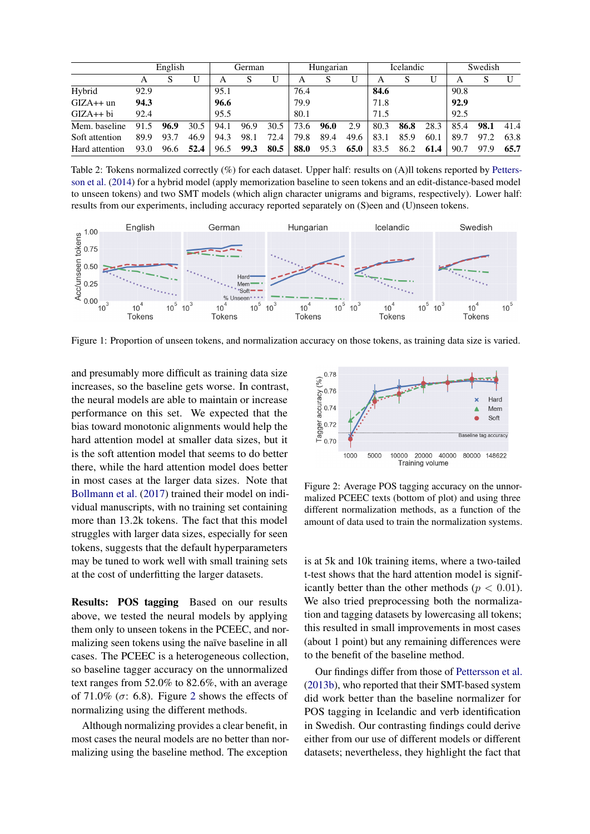|                | English |      |      | German |      | Hungarian |      | <b>Icelandic</b> |      |      | Swedish |      |      |      |      |
|----------------|---------|------|------|--------|------|-----------|------|------------------|------|------|---------|------|------|------|------|
|                | А       | S    |      | А      |      | U         | А    | S                |      | А    |         | U    | A    |      |      |
| Hybrid         | 92.9    |      |      | 95.1   |      |           | 76.4 |                  |      | 84.6 |         |      | 90.8 |      |      |
| $GIZA++$ un    | 94.3    |      |      | 96.6   |      |           | 79.9 |                  |      | 71.8 |         |      | 92.9 |      |      |
| $GIZA++$ bi    | 92.4    |      |      | 95.5   |      |           | 80.1 |                  |      | 71.5 |         |      | 92.5 |      |      |
| Mem. baseline  | 91.5    | 96.9 | 30.5 | 94.1   | 96.9 | 30.5      | 73.6 | 96.0             | 2.9  | 80.3 | 86.8    | 28.3 | 85.4 | 98.1 | 41.4 |
| Soft attention | 89.9    | 93.7 | 46.9 | 94.3   | 98.1 | 72.4      | 79.8 | 89.4             | 49.6 | 83.1 | 85.9    | 60.1 | 89.7 | 97.2 | 63.8 |
| Hard attention | 93.0    | 96.6 | 52.4 | 96.5   | 99.3 | 80.5      | 88.0 | 95.3             | 65.0 | 83.5 | 86.2    | 61.4 | 90.7 | 97.9 | 65.7 |

<span id="page-4-0"></span>Table 2: Tokens normalized correctly (%) for each dataset. Upper half: results on (A)ll tokens reported by [Petters](#page-5-6)[son et al.](#page-5-6) [\(2014\)](#page-5-6) for a hybrid model (apply memorization baseline to seen tokens and an edit-distance-based model to unseen tokens) and two SMT models (which align character unigrams and bigrams, respectively). Lower half: results from our experiments, including accuracy reported separately on (S)een and (U)nseen tokens.



<span id="page-4-1"></span>Figure 1: Proportion of unseen tokens, and normalization accuracy on those tokens, as training data size is varied.

and presumably more difficult as training data size increases, so the baseline gets worse. In contrast, the neural models are able to maintain or increase performance on this set. We expected that the bias toward monotonic alignments would help the hard attention model at smaller data sizes, but it is the soft attention model that seems to do better there, while the hard attention model does better in most cases at the larger data sizes. Note that [Bollmann et al.](#page-5-9) [\(2017\)](#page-5-9) trained their model on individual manuscripts, with no training set containing more than 13.2k tokens. The fact that this model struggles with larger data sizes, especially for seen tokens, suggests that the default hyperparameters may be tuned to work well with small training sets at the cost of underfitting the larger datasets.

Results: POS tagging Based on our results above, we tested the neural models by applying them only to unseen tokens in the PCEEC, and normalizing seen tokens using the naïve baseline in all cases. The PCEEC is a heterogeneous collection, so baseline tagger accuracy on the unnormalized text ranges from 52.0% to 82.6%, with an average of 71.0% ( $\sigma$ : 6.8). Figure [2](#page-4-2) shows the effects of normalizing using the different methods.

Although normalizing provides a clear benefit, in most cases the neural models are no better than normalizing using the baseline method. The exception



<span id="page-4-2"></span>Figure 2: Average POS tagging accuracy on the unnormalized PCEEC texts (bottom of plot) and using three different normalization methods, as a function of the amount of data used to train the normalization systems.

is at 5k and 10k training items, where a two-tailed t-test shows that the hard attention model is significantly better than the other methods ( $p < 0.01$ ). We also tried preprocessing both the normalization and tagging datasets by lowercasing all tokens; this resulted in small improvements in most cases (about 1 point) but any remaining differences were to the benefit of the baseline method.

Our findings differ from those of [Pettersson et al.](#page-5-7) [\(2013b\)](#page-5-7), who reported that their SMT-based system did work better than the baseline normalizer for POS tagging in Icelandic and verb identification in Swedish. Our contrasting findings could derive either from our use of different models or different datasets; nevertheless, they highlight the fact that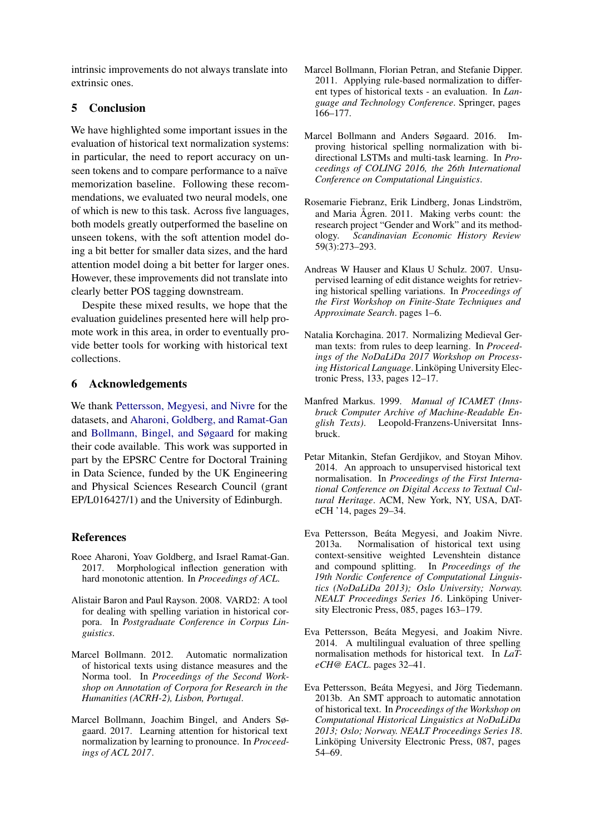intrinsic improvements do not always translate into extrinsic ones.

## 5 Conclusion

We have highlighted some important issues in the evaluation of historical text normalization systems: in particular, the need to report accuracy on unseen tokens and to compare performance to a naïve memorization baseline. Following these recommendations, we evaluated two neural models, one of which is new to this task. Across five languages, both models greatly outperformed the baseline on unseen tokens, with the soft attention model doing a bit better for smaller data sizes, and the hard attention model doing a bit better for larger ones. However, these improvements did not translate into clearly better POS tagging downstream.

Despite these mixed results, we hope that the evaluation guidelines presented here will help promote work in this area, in order to eventually provide better tools for working with historical text collections.

## 6 Acknowledgements

We thank [Pettersson, Megyesi, and Nivre](#page-5-6) for the datasets, and [Aharoni, Goldberg, and Ramat-Gan](#page-5-11) and [Bollmann, Bingel, and Søgaard](#page-5-9) for making their code available. This work was supported in part by the EPSRC Centre for Doctoral Training in Data Science, funded by the UK Engineering and Physical Sciences Research Council (grant EP/L016427/1) and the University of Edinburgh.

## References

- <span id="page-5-11"></span>Roee Aharoni, Yoav Goldberg, and Israel Ramat-Gan. 2017. Morphological inflection generation with hard monotonic attention. In *Proceedings of ACL*.
- <span id="page-5-0"></span>Alistair Baron and Paul Rayson. 2008. VARD2: A tool for dealing with spelling variation in historical corpora. In *Postgraduate Conference in Corpus Linguistics*.
- <span id="page-5-1"></span>Marcel Bollmann. 2012. Automatic normalization of historical texts using distance measures and the Norma tool. In *Proceedings of the Second Workshop on Annotation of Corpora for Research in the Humanities (ACRH-2), Lisbon, Portugal*.
- <span id="page-5-9"></span>Marcel Bollmann, Joachim Bingel, and Anders Søgaard. 2017. Learning attention for historical text normalization by learning to pronounce. In *Proceedings of ACL 2017*.
- <span id="page-5-3"></span>Marcel Bollmann, Florian Petran, and Stefanie Dipper. 2011. Applying rule-based normalization to different types of historical texts - an evaluation. In *Language and Technology Conference*. Springer, pages 166–177.
- <span id="page-5-8"></span>Marcel Bollmann and Anders Søgaard. 2016. Improving historical spelling normalization with bidirectional LSTMs and multi-task learning. In *Proceedings of COLING 2016, the 26th International Conference on Computational Linguistics*.
- <span id="page-5-13"></span>Rosemarie Fiebranz, Erik Lindberg, Jonas Lindström, and Maria Ågren. 2011. Making verbs count: the research project "Gender and Work" and its methodology. *Scandinavian Economic History Review* 59(3):273–293.
- <span id="page-5-2"></span>Andreas W Hauser and Klaus U Schulz. 2007. Unsupervised learning of edit distance weights for retrieving historical spelling variations. In *Proceedings of the First Workshop on Finite-State Techniques and Approximate Search*. pages 1–6.
- <span id="page-5-10"></span>Natalia Korchagina. 2017. Normalizing Medieval German texts: from rules to deep learning. In *Proceedings of the NoDaLiDa 2017 Workshop on Processing Historical Language*. Linköping University Electronic Press, 133, pages 12–17.
- <span id="page-5-12"></span>Manfred Markus. 1999. *Manual of ICAMET (Innsbruck Computer Archive of Machine-Readable English Texts)*. Leopold-Franzens-Universitat Innsbruck.
- <span id="page-5-5"></span>Petar Mitankin, Stefan Gerdjikov, and Stoyan Mihov. 2014. An approach to unsupervised historical text normalisation. In *Proceedings of the First International Conference on Digital Access to Textual Cultural Heritage*. ACM, New York, NY, USA, DATeCH '14, pages 29–34.
- <span id="page-5-4"></span>Eva Pettersson, Beáta Megyesi, and Joakim Nivre. 2013a. Normalisation of historical text using context-sensitive weighted Levenshtein distance and compound splitting. In *Proceedings of the 19th Nordic Conference of Computational Linguistics (NoDaLiDa 2013); Oslo University; Norway. NEALT Proceedings Series 16*. Linköping University Electronic Press, 085, pages 163–179.
- <span id="page-5-6"></span>Eva Pettersson, Beáta Megyesi, and Joakim Nivre. 2014. A multilingual evaluation of three spelling normalisation methods for historical text. In *LaTeCH@ EACL*. pages 32–41.
- <span id="page-5-7"></span>Eva Pettersson, Beáta Megyesi, and Jörg Tiedemann. 2013b. An SMT approach to automatic annotation of historical text. In *Proceedings of the Workshop on Computational Historical Linguistics at NoDaLiDa 2013; Oslo; Norway. NEALT Proceedings Series 18*. Linköping University Electronic Press, 087, pages 54–69.